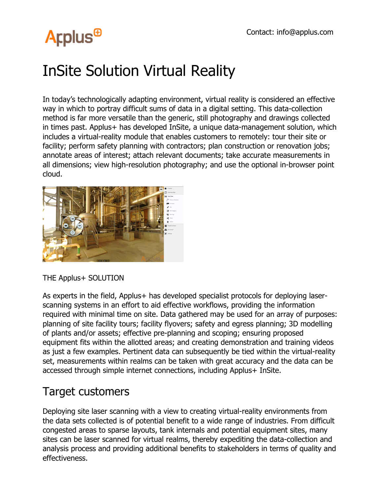## **Arplus<sup>®</sup>**

## InSite Solution Virtual Reality

In today's technologically adapting environment, virtual reality is considered an effective way in which to portray difficult sums of data in a digital setting. This data-collection method is far more versatile than the generic, still photography and drawings collected in times past. Applus+ has developed InSite, a unique data-management solution, which includes a virtual-reality module that enables customers to remotely: tour their site or facility; perform safety planning with contractors; plan construction or renovation jobs; annotate areas of interest; attach relevant documents; take accurate measurements in all dimensions; view high-resolution photography; and use the optional in-browser point cloud.



THE Applus+ SOLUTION

As experts in the field, Applus+ has developed specialist protocols for deploying laserscanning systems in an effort to aid effective workflows, providing the information required with minimal time on site. Data gathered may be used for an array of purposes: planning of site facility tours; facility flyovers; safety and egress planning; 3D modelling of plants and/or assets; effective pre-planning and scoping; ensuring proposed equipment fits within the allotted areas; and creating demonstration and training videos as just a few examples. Pertinent data can subsequently be tied within the virtual-reality set, measurements within realms can be taken with great accuracy and the data can be accessed through simple internet connections, including Applus+ InSite.

## Target customers

Deploying site laser scanning with a view to creating virtual-reality environments from the data sets collected is of potential benefit to a wide range of industries. From difficult congested areas to sparse layouts, tank internals and potential equipment sites, many sites can be laser scanned for virtual realms, thereby expediting the data-collection and analysis process and providing additional benefits to stakeholders in terms of quality and effectiveness.